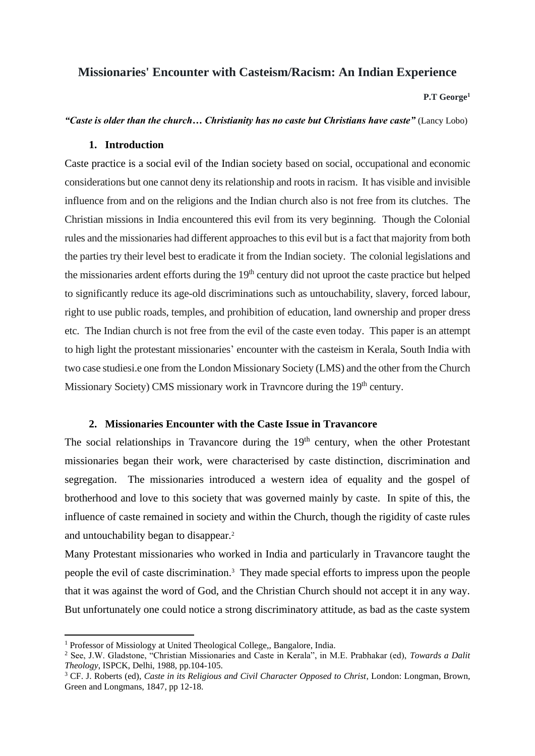# **Missionaries' Encounter with Casteism/Racism: An Indian Experience**

**P.T George<sup>1</sup>**

*"Caste is older than the church… Christianity has no caste but Christians have caste"* (Lancy Lobo)

## **1. Introduction**

Caste practice is a social evil of the Indian society based on social, occupational and economic considerations but one cannot deny its relationship and roots in racism. It has visible and invisible influence from and on the religions and the Indian church also is not free from its clutches. The Christian missions in India encountered this evil from its very beginning. Though the Colonial rules and the missionaries had different approaches to this evil but is a fact that majority from both the parties try their level best to eradicate it from the Indian society. The colonial legislations and the missionaries ardent efforts during the 19<sup>th</sup> century did not uproot the caste practice but helped to significantly reduce its age-old discriminations such as untouchability, slavery, forced labour, right to use public roads, temples, and prohibition of education, land ownership and proper dress etc. The Indian church is not free from the evil of the caste even today. This paper is an attempt to high light the protestant missionaries' encounter with the casteism in Kerala, South India with two case studiesi.e one from the London Missionary Society (LMS) and the other from the Church Missionary Society) CMS missionary work in Travncore during the  $19<sup>th</sup>$  century.

#### **2. Missionaries Encounter with the Caste Issue in Travancore**

The social relationships in Travancore during the  $19<sup>th</sup>$  century, when the other Protestant missionaries began their work, were characterised by caste distinction, discrimination and segregation. The missionaries introduced a western idea of equality and the gospel of brotherhood and love to this society that was governed mainly by caste. In spite of this, the influence of caste remained in society and within the Church, though the rigidity of caste rules and untouchability began to disappear.<sup>2</sup>

Many Protestant missionaries who worked in India and particularly in Travancore taught the people the evil of caste discrimination.<sup>3</sup> They made special efforts to impress upon the people that it was against the word of God, and the Christian Church should not accept it in any way. But unfortunately one could notice a strong discriminatory attitude, as bad as the caste system

<sup>&</sup>lt;sup>1</sup> Professor of Missiology at United Theological College, Bangalore, India.

<sup>2</sup> See, J.W. Gladstone, "Christian Missionaries and Caste in Kerala", in M.E. Prabhakar (ed), *Towards a Dalit Theology*, ISPCK, Delhi, 1988, pp.104-105.

<sup>&</sup>lt;sup>3</sup> CF. J. Roberts (ed), *Caste in its Religious and Civil Character Opposed to Christ*, London: Longman, Brown, Green and Longmans, 1847, pp 12-18.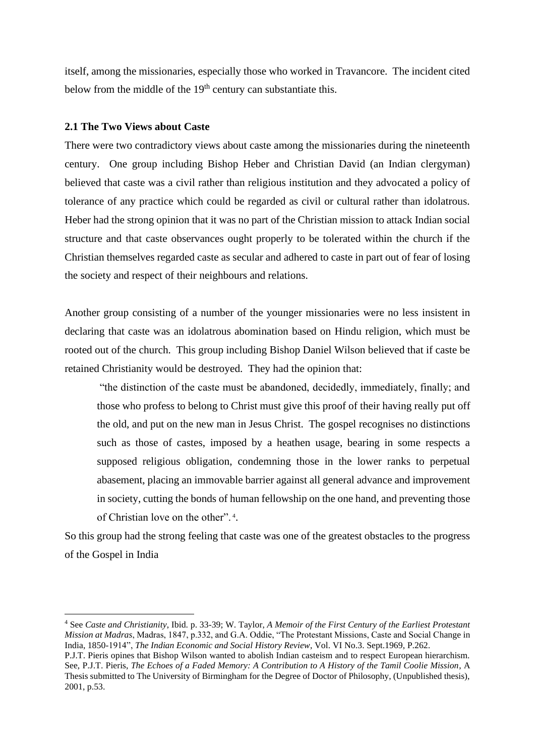itself, among the missionaries, especially those who worked in Travancore. The incident cited below from the middle of the 19<sup>th</sup> century can substantiate this.

## **2.1 The Two Views about Caste**

There were two contradictory views about caste among the missionaries during the nineteenth century. One group including Bishop Heber and Christian David (an Indian clergyman) believed that caste was a civil rather than religious institution and they advocated a policy of tolerance of any practice which could be regarded as civil or cultural rather than idolatrous. Heber had the strong opinion that it was no part of the Christian mission to attack Indian social structure and that caste observances ought properly to be tolerated within the church if the Christian themselves regarded caste as secular and adhered to caste in part out of fear of losing the society and respect of their neighbours and relations.

Another group consisting of a number of the younger missionaries were no less insistent in declaring that caste was an idolatrous abomination based on Hindu religion, which must be rooted out of the church. This group including Bishop Daniel Wilson believed that if caste be retained Christianity would be destroyed. They had the opinion that:

"the distinction of the caste must be abandoned, decidedly, immediately, finally; and those who profess to belong to Christ must give this proof of their having really put off the old, and put on the new man in Jesus Christ. The gospel recognises no distinctions such as those of castes, imposed by a heathen usage, bearing in some respects a supposed religious obligation, condemning those in the lower ranks to perpetual abasement, placing an immovable barrier against all general advance and improvement in society, cutting the bonds of human fellowship on the one hand, and preventing those of Christian love on the other". <sup>4</sup> .

So this group had the strong feeling that caste was one of the greatest obstacles to the progress of the Gospel in India

<sup>4</sup> See *Caste and Christianity*, Ibid. p. 33-39; W. Taylor, *A Memoir of the First Century of the Earliest Protestant Mission at Madras*, Madras, 1847, p.332, and G.A. Oddie, "The Protestant Missions, Caste and Social Change in India, 1850-1914", *The Indian Economic and Social History Review*, Vol. VI No.3. Sept.1969, P.262.

P.J.T. Pieris opines that Bishop Wilson wanted to abolish Indian casteism and to respect European hierarchism. See, P.J.T. Pieris, *The Echoes of a Faded Memory: A Contribution to A History of the Tamil Coolie Mission*, A Thesis submitted to The University of Birmingham for the Degree of Doctor of Philosophy, (Unpublished thesis), 2001, p.53.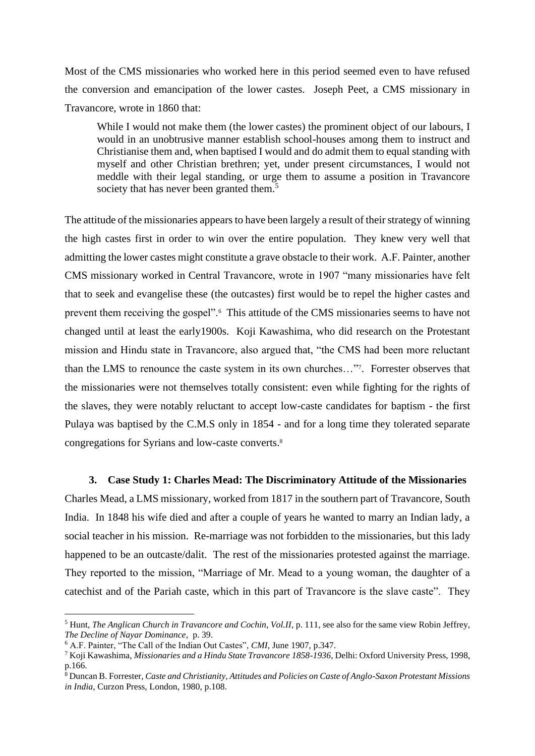Most of the CMS missionaries who worked here in this period seemed even to have refused the conversion and emancipation of the lower castes. Joseph Peet, a CMS missionary in Travancore, wrote in 1860 that:

While I would not make them (the lower castes) the prominent object of our labours, I would in an unobtrusive manner establish school-houses among them to instruct and Christianise them and, when baptised I would and do admit them to equal standing with myself and other Christian brethren; yet, under present circumstances, I would not meddle with their legal standing, or urge them to assume a position in Travancore society that has never been granted them.<sup>5</sup>

The attitude of the missionaries appears to have been largely a result of their strategy of winning the high castes first in order to win over the entire population. They knew very well that admitting the lower castes might constitute a grave obstacle to their work. A.F. Painter, another CMS missionary worked in Central Travancore, wrote in 1907 "many missionaries have felt that to seek and evangelise these (the outcastes) first would be to repel the higher castes and prevent them receiving the gospel".<sup>6</sup> This attitude of the CMS missionaries seems to have not changed until at least the early1900s. Koji Kawashima, who did research on the Protestant mission and Hindu state in Travancore, also argued that, "the CMS had been more reluctant than the LMS to renounce the caste system in its own churches…"<sup>7</sup> . Forrester observes that the missionaries were not themselves totally consistent: even while fighting for the rights of the slaves, they were notably reluctant to accept low-caste candidates for baptism - the first Pulaya was baptised by the C.M.S only in 1854 - and for a long time they tolerated separate congregations for Syrians and low-caste converts.<sup>8</sup>

#### **3. Case Study 1: Charles Mead: The Discriminatory Attitude of the Missionaries**

Charles Mead, a LMS missionary, worked from 1817 in the southern part of Travancore, South India. In 1848 his wife died and after a couple of years he wanted to marry an Indian lady, a social teacher in his mission. Re-marriage was not forbidden to the missionaries, but this lady happened to be an outcaste/dalit. The rest of the missionaries protested against the marriage. They reported to the mission, "Marriage of Mr. Mead to a young woman, the daughter of a catechist and of the Pariah caste, which in this part of Travancore is the slave caste". They

<sup>5</sup> Hunt, *The Anglican Church in Travancore and Cochin, Vol.II*, p. 111, see also for the same view Robin Jeffrey, *The Decline of Nayar Dominance*, p. 39.

<sup>6</sup> A.F. Painter, "The Call of the Indian Out Castes", *CMI*, June 1907, p.347.

<sup>7</sup> Koji Kawashima, *Missionaries and a Hindu State Travancore 1858-1936*, Delhi: Oxford University Press, 1998, p.166.

<sup>8</sup> Duncan B. Forrester, *Caste and Christianity, Attitudes and Policies on Caste of Anglo-Saxon Protestant Missions in India*, Curzon Press, London, 1980, p.108.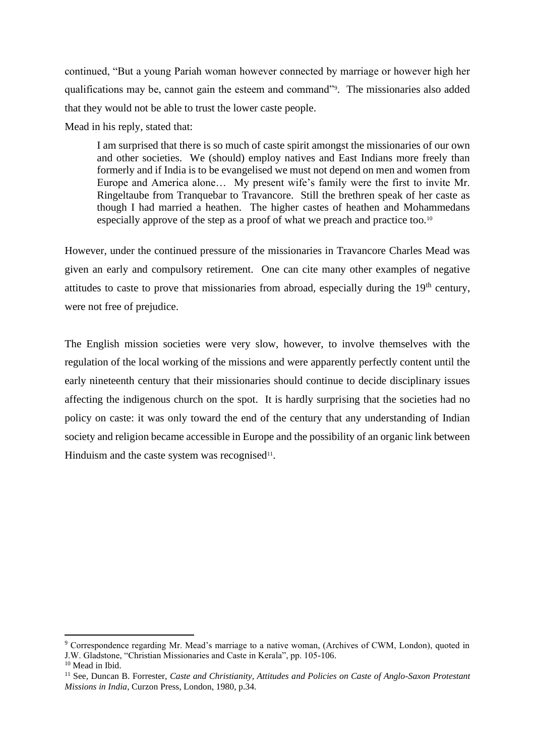continued, "But a young Pariah woman however connected by marriage or however high her qualifications may be, cannot gain the esteem and command"<sup>9</sup> . The missionaries also added that they would not be able to trust the lower caste people.

Mead in his reply, stated that:

I am surprised that there is so much of caste spirit amongst the missionaries of our own and other societies. We (should) employ natives and East Indians more freely than formerly and if India is to be evangelised we must not depend on men and women from Europe and America alone… My present wife's family were the first to invite Mr. Ringeltaube from Tranquebar to Travancore. Still the brethren speak of her caste as though I had married a heathen. The higher castes of heathen and Mohammedans especially approve of the step as a proof of what we preach and practice too.<sup>10</sup>

However, under the continued pressure of the missionaries in Travancore Charles Mead was given an early and compulsory retirement. One can cite many other examples of negative attitudes to caste to prove that missionaries from abroad, especially during the  $19<sup>th</sup>$  century, were not free of prejudice.

The English mission societies were very slow, however, to involve themselves with the regulation of the local working of the missions and were apparently perfectly content until the early nineteenth century that their missionaries should continue to decide disciplinary issues affecting the indigenous church on the spot. It is hardly surprising that the societies had no policy on caste: it was only toward the end of the century that any understanding of Indian society and religion became accessible in Europe and the possibility of an organic link between Hinduism and the caste system was recognised<sup>11</sup>.

<sup>&</sup>lt;sup>9</sup> Correspondence regarding Mr. Mead's marriage to a native woman, (Archives of CWM, London), quoted in J.W. Gladstone, "Christian Missionaries and Caste in Kerala", pp. 105-106.

<sup>10</sup> Mead in Ibid.

<sup>11</sup> See, Duncan B. Forrester, *Caste and Christianity, Attitudes and Policies on Caste of Anglo-Saxon Protestant Missions in India*, Curzon Press, London, 1980, p.34.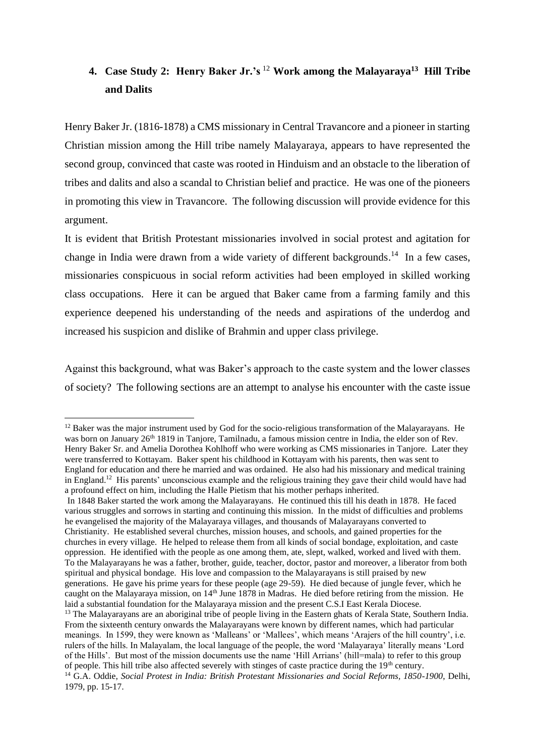# **4. Case Study 2: Henry Baker Jr.'s** <sup>12</sup> **Work among the Malayaraya<sup>13</sup> Hill Tribe and Dalits**

Henry Baker Jr. (1816-1878) a CMS missionary in Central Travancore and a pioneer in starting Christian mission among the Hill tribe namely Malayaraya, appears to have represented the second group, convinced that caste was rooted in Hinduism and an obstacle to the liberation of tribes and dalits and also a scandal to Christian belief and practice. He was one of the pioneers in promoting this view in Travancore. The following discussion will provide evidence for this argument.

It is evident that British Protestant missionaries involved in social protest and agitation for change in India were drawn from a wide variety of different backgrounds.<sup>14</sup> In a few cases, missionaries conspicuous in social reform activities had been employed in skilled working class occupations. Here it can be argued that Baker came from a farming family and this experience deepened his understanding of the needs and aspirations of the underdog and increased his suspicion and dislike of Brahmin and upper class privilege.

Against this background, what was Baker's approach to the caste system and the lower classes of society? The following sections are an attempt to analyse his encounter with the caste issue

<sup>&</sup>lt;sup>12</sup> Baker was the major instrument used by God for the socio-religious transformation of the Malayarayans. He was born on January 26<sup>th</sup> 1819 in Tanjore, Tamilnadu, a famous mission centre in India, the elder son of Rev. Henry Baker Sr. and Amelia Dorothea Kohlhoff who were working as CMS missionaries in Tanjore. Later they were transferred to Kottayam. Baker spent his childhood in Kottayam with his parents, then was sent to England for education and there he married and was ordained. He also had his missionary and medical training in England.<sup>12</sup> His parents' unconscious example and the religious training they gave their child would have had a profound effect on him, including the Halle Pietism that his mother perhaps inherited.

In 1848 Baker started the work among the Malayarayans. He continued this till his death in 1878. He faced various struggles and sorrows in starting and continuing this mission. In the midst of difficulties and problems he evangelised the majority of the Malayaraya villages, and thousands of Malayarayans converted to Christianity. He established several churches, mission houses, and schools, and gained properties for the churches in every village. He helped to release them from all kinds of social bondage, exploitation, and caste oppression. He identified with the people as one among them, ate, slept, walked, worked and lived with them. To the Malayarayans he was a father, brother, guide, teacher, doctor, pastor and moreover, a liberator from both spiritual and physical bondage. His love and compassion to the Malayarayans is still praised by new generations. He gave his prime years for these people (age 29-59). He died because of jungle fever, which he caught on the Malayaraya mission, on 14<sup>th</sup> June 1878 in Madras. He died before retiring from the mission. He laid a substantial foundation for the Malayaraya mission and the present C.S.I East Kerala Diocese.

<sup>&</sup>lt;sup>13</sup> The Malayarayans are an aboriginal tribe of people living in the Eastern ghats of Kerala State, Southern India. From the sixteenth century onwards the Malayarayans were known by different names, which had particular meanings. In 1599, they were known as 'Malleans' or 'Mallees', which means 'Arajers of the hill country', i.e. rulers of the hills. In Malayalam, the local language of the people, the word 'Malayaraya' literally means 'Lord of the Hills'. But most of the mission documents use the name 'Hill Arrians' (hill=mala) to refer to this group of people. This hill tribe also affected severely with stinges of caste practice during the  $19<sup>th</sup>$  century.

<sup>14</sup> G.A. Oddie, *Social Protest in India: British Protestant Missionaries and Social Reforms, 1850-1900*, Delhi, 1979, pp. 15-17.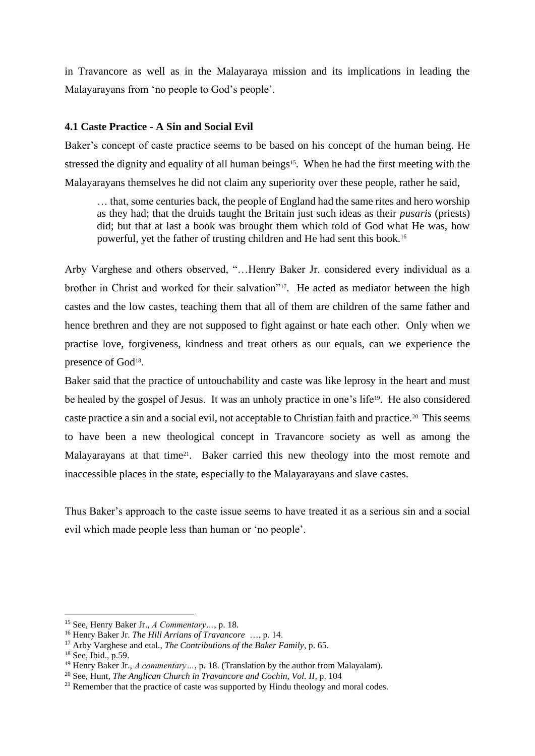in Travancore as well as in the Malayaraya mission and its implications in leading the Malayarayans from 'no people to God's people'.

# **4.1 Caste Practice - A Sin and Social Evil**

Baker's concept of caste practice seems to be based on his concept of the human being. He stressed the dignity and equality of all human beings<sup>15</sup>. When he had the first meeting with the Malayarayans themselves he did not claim any superiority over these people, rather he said,

… that, some centuries back, the people of England had the same rites and hero worship as they had; that the druids taught the Britain just such ideas as their *pusaris* (priests) did; but that at last a book was brought them which told of God what He was, how powerful, yet the father of trusting children and He had sent this book.<sup>16</sup>

Arby Varghese and others observed, "…Henry Baker Jr. considered every individual as a brother in Christ and worked for their salvation"<sup>17</sup>. He acted as mediator between the high castes and the low castes, teaching them that all of them are children of the same father and hence brethren and they are not supposed to fight against or hate each other. Only when we practise love, forgiveness, kindness and treat others as our equals, can we experience the presence of God<sup>18</sup>.

Baker said that the practice of untouchability and caste was like leprosy in the heart and must be healed by the gospel of Jesus. It was an unholy practice in one's life<sup>19</sup>. He also considered caste practice a sin and a social evil, not acceptable to Christian faith and practice.<sup>20</sup> This seems to have been a new theological concept in Travancore society as well as among the Malayarayans at that time<sup>21</sup>. Baker carried this new theology into the most remote and inaccessible places in the state, especially to the Malayarayans and slave castes.

Thus Baker's approach to the caste issue seems to have treated it as a serious sin and a social evil which made people less than human or 'no people'.

<sup>15</sup> See, Henry Baker Jr., *A Commentary…*, p. 18.

<sup>16</sup> Henry Baker Jr. *The Hill Arrians of Travancore* …, p. 14.

<sup>17</sup> Arby Varghese and etal., *The Contributions of the Baker Family*, p. 65.

<sup>18</sup> See, Ibid., p.59.

<sup>19</sup> Henry Baker Jr., *A commentary…*, p. 18. (Translation by the author from Malayalam).

<sup>20</sup> See, Hunt, *The Anglican Church in Travancore and Cochin, Vol. II*, p. 104

<sup>&</sup>lt;sup>21</sup> Remember that the practice of caste was supported by Hindu theology and moral codes.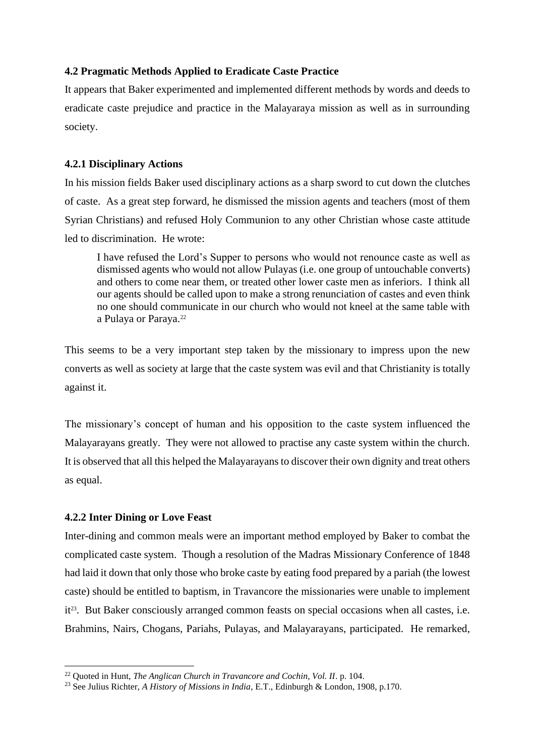# **4.2 Pragmatic Methods Applied to Eradicate Caste Practice**

It appears that Baker experimented and implemented different methods by words and deeds to eradicate caste prejudice and practice in the Malayaraya mission as well as in surrounding society.

## **4.2.1 Disciplinary Actions**

In his mission fields Baker used disciplinary actions as a sharp sword to cut down the clutches of caste. As a great step forward, he dismissed the mission agents and teachers (most of them Syrian Christians) and refused Holy Communion to any other Christian whose caste attitude led to discrimination. He wrote:

I have refused the Lord's Supper to persons who would not renounce caste as well as dismissed agents who would not allow Pulayas (i.e. one group of untouchable converts) and others to come near them, or treated other lower caste men as inferiors. I think all our agents should be called upon to make a strong renunciation of castes and even think no one should communicate in our church who would not kneel at the same table with a Pulaya or Paraya.<sup>22</sup>

This seems to be a very important step taken by the missionary to impress upon the new converts as well as society at large that the caste system was evil and that Christianity is totally against it.

The missionary's concept of human and his opposition to the caste system influenced the Malayarayans greatly. They were not allowed to practise any caste system within the church. It is observed that all this helped the Malayarayans to discover their own dignity and treat others as equal.

# **4.2.2 Inter Dining or Love Feast**

Inter-dining and common meals were an important method employed by Baker to combat the complicated caste system. Though a resolution of the Madras Missionary Conference of 1848 had laid it down that only those who broke caste by eating food prepared by a pariah (the lowest caste) should be entitled to baptism, in Travancore the missionaries were unable to implement it<sup>23</sup>. But Baker consciously arranged common feasts on special occasions when all castes, i.e. Brahmins, Nairs, Chogans, Pariahs, Pulayas, and Malayarayans, participated. He remarked,

<sup>22</sup> Quoted in Hunt, *The Anglican Church in Travancore and Cochin, Vol. II*. p. 104.

<sup>23</sup> See Julius Richter, *A History of Missions in India*, E.T., Edinburgh & London, 1908, p.170.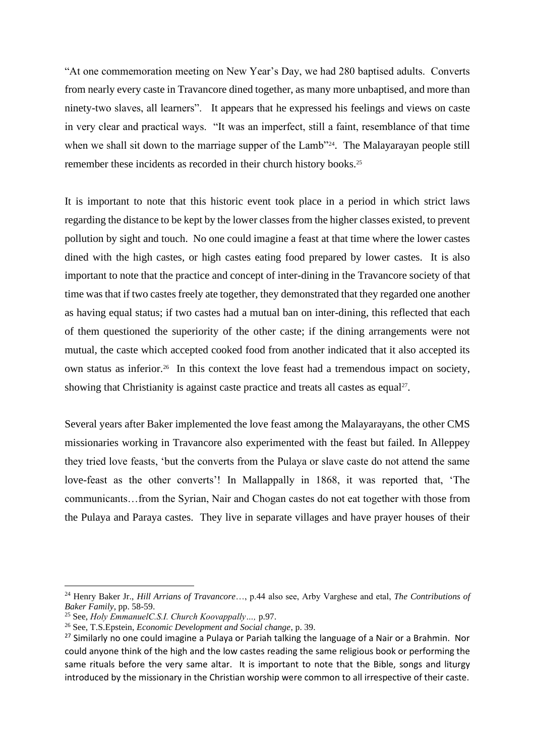"At one commemoration meeting on New Year's Day, we had 280 baptised adults. Converts from nearly every caste in Travancore dined together, as many more unbaptised, and more than ninety-two slaves, all learners". It appears that he expressed his feelings and views on caste in very clear and practical ways. "It was an imperfect, still a faint, resemblance of that time when we shall sit down to the marriage supper of the Lamb<sup>324</sup>. The Malayarayan people still remember these incidents as recorded in their church history books.<sup>25</sup>

It is important to note that this historic event took place in a period in which strict laws regarding the distance to be kept by the lower classes from the higher classes existed, to prevent pollution by sight and touch. No one could imagine a feast at that time where the lower castes dined with the high castes, or high castes eating food prepared by lower castes. It is also important to note that the practice and concept of inter-dining in the Travancore society of that time was that if two castes freely ate together, they demonstrated that they regarded one another as having equal status; if two castes had a mutual ban on inter-dining, this reflected that each of them questioned the superiority of the other caste; if the dining arrangements were not mutual, the caste which accepted cooked food from another indicated that it also accepted its own status as inferior.<sup>26</sup> In this context the love feast had a tremendous impact on society, showing that Christianity is against caste practice and treats all castes as equal<sup>27</sup>.

Several years after Baker implemented the love feast among the Malayarayans, the other CMS missionaries working in Travancore also experimented with the feast but failed. In Alleppey they tried love feasts, 'but the converts from the Pulaya or slave caste do not attend the same love-feast as the other converts'! In Mallappally in 1868, it was reported that, 'The communicants…from the Syrian, Nair and Chogan castes do not eat together with those from the Pulaya and Paraya castes. They live in separate villages and have prayer houses of their

<sup>24</sup> Henry Baker Jr., *Hill Arrians of Travancore*…, p.44 also see, Arby Varghese and etal, *The Contributions of Baker Family*, pp. 58-59.

<sup>25</sup> See, *Holy EmmanuelC.S.I. Church Koovappally…,* p.97.

<sup>26</sup> See, T.S.Epstein, *Economic Development and Social change*, p. 39.

<sup>&</sup>lt;sup>27</sup> Similarly no one could imagine a Pulaya or Pariah talking the language of a Nair or a Brahmin. Nor could anyone think of the high and the low castes reading the same religious book or performing the same rituals before the very same altar. It is important to note that the Bible, songs and liturgy introduced by the missionary in the Christian worship were common to all irrespective of their caste.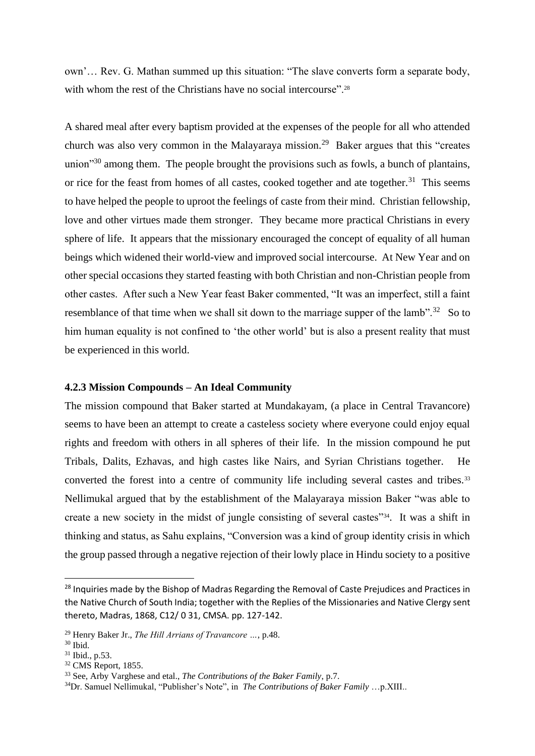own'… Rev. G. Mathan summed up this situation: "The slave converts form a separate body, with whom the rest of the Christians have no social intercourse".<sup>28</sup>

A shared meal after every baptism provided at the expenses of the people for all who attended church was also very common in the Malayaraya mission.<sup>29</sup> Baker argues that this "creates" union $\mathfrak{g}^{30}$  among them. The people brought the provisions such as fowls, a bunch of plantains, or rice for the feast from homes of all castes, cooked together and ate together.<sup>31</sup> This seems to have helped the people to uproot the feelings of caste from their mind. Christian fellowship, love and other virtues made them stronger. They became more practical Christians in every sphere of life. It appears that the missionary encouraged the concept of equality of all human beings which widened their world-view and improved social intercourse. At New Year and on other special occasions they started feasting with both Christian and non-Christian people from other castes. After such a New Year feast Baker commented, "It was an imperfect, still a faint resemblance of that time when we shall sit down to the marriage supper of the lamb".<sup>32</sup> So to him human equality is not confined to 'the other world' but is also a present reality that must be experienced in this world.

## **4.2.3 Mission Compounds – An Ideal Community**

The mission compound that Baker started at Mundakayam, (a place in Central Travancore) seems to have been an attempt to create a casteless society where everyone could enjoy equal rights and freedom with others in all spheres of their life. In the mission compound he put Tribals, Dalits, Ezhavas, and high castes like Nairs, and Syrian Christians together. He converted the forest into a centre of community life including several castes and tribes.<sup>33</sup> Nellimukal argued that by the establishment of the Malayaraya mission Baker "was able to create a new society in the midst of jungle consisting of several castes"34. It was a shift in thinking and status, as Sahu explains, "Conversion was a kind of group identity crisis in which the group passed through a negative rejection of their lowly place in Hindu society to a positive

<sup>&</sup>lt;sup>28</sup> Inquiries made by the Bishop of Madras Regarding the Removal of Caste Prejudices and Practices in the Native Church of South India; together with the Replies of the Missionaries and Native Clergy sent thereto, Madras, 1868, C12/ 0 31, CMSA. pp. 127-142.

<sup>29</sup> Henry Baker Jr., *The Hill Arrians of Travancore …*, p.48.

<sup>30</sup> Ibid.

<sup>31</sup> Ibid., p.53.

<sup>32</sup> CMS Report, 1855.

<sup>33</sup> See, Arby Varghese and etal., *The Contributions of the Baker Family*, p.7.

<sup>34</sup>Dr. Samuel Nellimukal, "Publisher's Note", in *The Contributions of Baker Family* …p.XIII..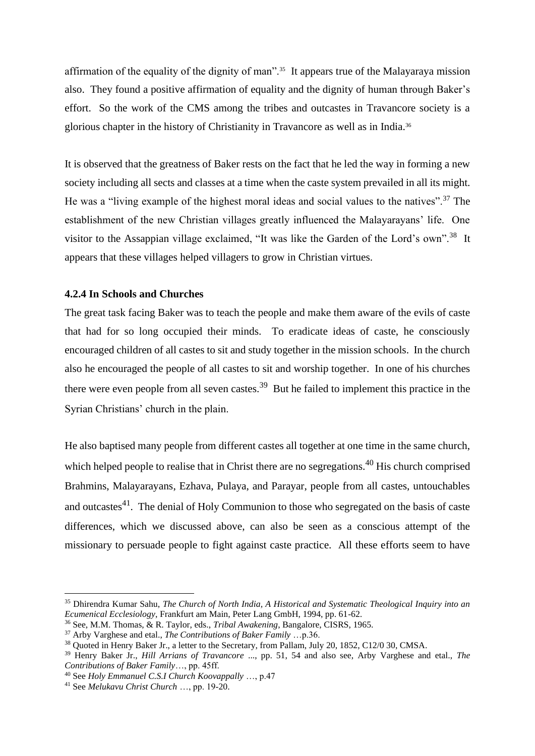affirmation of the equality of the dignity of man"<sup>35</sup> It appears true of the Malayaraya mission also. They found a positive affirmation of equality and the dignity of human through Baker's effort. So the work of the CMS among the tribes and outcastes in Travancore society is a glorious chapter in the history of Christianity in Travancore as well as in India.<sup>36</sup>

It is observed that the greatness of Baker rests on the fact that he led the way in forming a new society including all sects and classes at a time when the caste system prevailed in all its might. He was a "living example of the highest moral ideas and social values to the natives".<sup>37</sup> The establishment of the new Christian villages greatly influenced the Malayarayans' life. One visitor to the Assappian village exclaimed, "It was like the Garden of the Lord's own".<sup>38</sup> It appears that these villages helped villagers to grow in Christian virtues.

## **4.2.4 In Schools and Churches**

The great task facing Baker was to teach the people and make them aware of the evils of caste that had for so long occupied their minds. To eradicate ideas of caste, he consciously encouraged children of all castes to sit and study together in the mission schools. In the church also he encouraged the people of all castes to sit and worship together. In one of his churches there were even people from all seven castes.<sup>39</sup> But he failed to implement this practice in the Syrian Christians' church in the plain.

He also baptised many people from different castes all together at one time in the same church, which helped people to realise that in Christ there are no segregations.<sup>40</sup> His church comprised Brahmins, Malayarayans, Ezhava, Pulaya, and Parayar, people from all castes, untouchables and outcastes $^{41}$ . The denial of Holy Communion to those who segregated on the basis of caste differences, which we discussed above, can also be seen as a conscious attempt of the missionary to persuade people to fight against caste practice. All these efforts seem to have

<sup>35</sup> Dhirendra Kumar Sahu, *The Church of North India, A Historical and Systematic Theological Inquiry into an Ecumenical Ecclesiology*, Frankfurt am Main, Peter Lang GmbH, 1994, pp. 61-62.

<sup>36</sup> See, M.M. Thomas, & R. Taylor, eds., *Tribal Awakening*, Bangalore, CISRS, 1965.

<sup>37</sup> Arby Varghese and etal., *The Contributions of Baker Family* …p.36.

<sup>&</sup>lt;sup>38</sup> Quoted in Henry Baker Jr., a letter to the Secretary, from Pallam, July 20, 1852, C12/0 30, CMSA.

<sup>39</sup> Henry Baker Jr., *Hill Arrians of Travancore* ..., pp. 51, 54 and also see, Arby Varghese and etal., *The Contributions of Baker Family*…, pp. 45ff.

<sup>40</sup> See *Holy Emmanuel C.S.I Church Koovappally* …, p.47

<sup>41</sup> See *Melukavu Christ Church* …, pp. 19-20.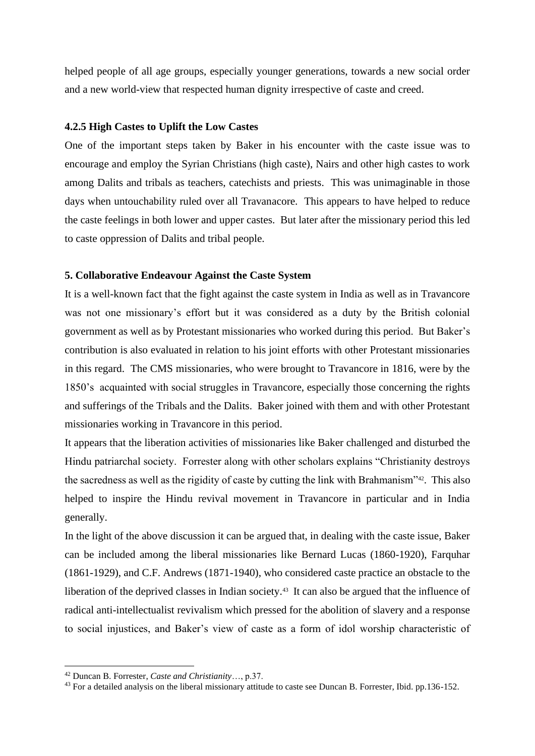helped people of all age groups, especially younger generations, towards a new social order and a new world-view that respected human dignity irrespective of caste and creed.

## **4.2.5 High Castes to Uplift the Low Castes**

One of the important steps taken by Baker in his encounter with the caste issue was to encourage and employ the Syrian Christians (high caste), Nairs and other high castes to work among Dalits and tribals as teachers, catechists and priests. This was unimaginable in those days when untouchability ruled over all Travanacore. This appears to have helped to reduce the caste feelings in both lower and upper castes. But later after the missionary period this led to caste oppression of Dalits and tribal people.

## **5. Collaborative Endeavour Against the Caste System**

It is a well-known fact that the fight against the caste system in India as well as in Travancore was not one missionary's effort but it was considered as a duty by the British colonial government as well as by Protestant missionaries who worked during this period. But Baker's contribution is also evaluated in relation to his joint efforts with other Protestant missionaries in this regard. The CMS missionaries, who were brought to Travancore in 1816, were by the 1850's acquainted with social struggles in Travancore, especially those concerning the rights and sufferings of the Tribals and the Dalits. Baker joined with them and with other Protestant missionaries working in Travancore in this period.

It appears that the liberation activities of missionaries like Baker challenged and disturbed the Hindu patriarchal society. Forrester along with other scholars explains "Christianity destroys the sacredness as well as the rigidity of caste by cutting the link with Brahmanism"42. This also helped to inspire the Hindu revival movement in Travancore in particular and in India generally.

In the light of the above discussion it can be argued that, in dealing with the caste issue, Baker can be included among the liberal missionaries like Bernard Lucas (1860-1920), Farquhar (1861-1929), and C.F. Andrews (1871-1940), who considered caste practice an obstacle to the liberation of the deprived classes in Indian society.<sup>43</sup> It can also be argued that the influence of radical anti-intellectualist revivalism which pressed for the abolition of slavery and a response to social injustices, and Baker's view of caste as a form of idol worship characteristic of

<sup>42</sup> Duncan B. Forrester, *Caste and Christianity*…, p.37.

<sup>&</sup>lt;sup>43</sup> For a detailed analysis on the liberal missionary attitude to caste see Duncan B. Forrester, Ibid. pp.136-152.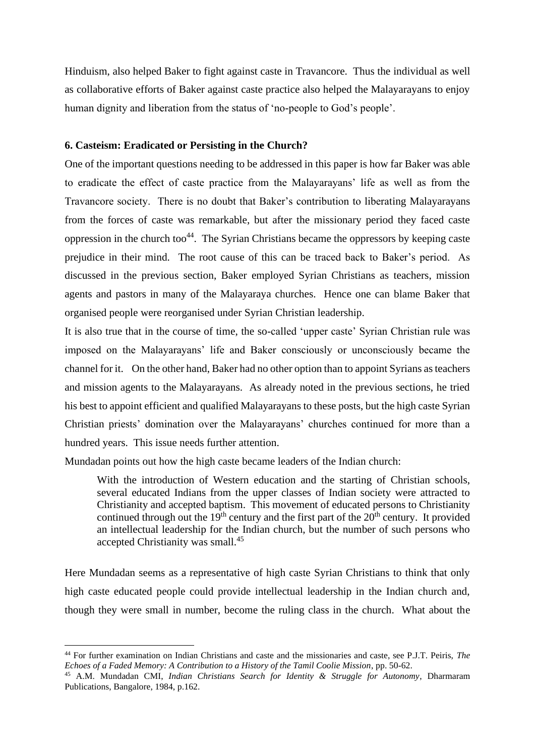Hinduism, also helped Baker to fight against caste in Travancore. Thus the individual as well as collaborative efforts of Baker against caste practice also helped the Malayarayans to enjoy human dignity and liberation from the status of 'no-people to God's people'.

## **6. Casteism: Eradicated or Persisting in the Church?**

One of the important questions needing to be addressed in this paper is how far Baker was able to eradicate the effect of caste practice from the Malayarayans' life as well as from the Travancore society. There is no doubt that Baker's contribution to liberating Malayarayans from the forces of caste was remarkable, but after the missionary period they faced caste oppression in the church too<sup>44</sup>. The Syrian Christians became the oppressors by keeping caste prejudice in their mind. The root cause of this can be traced back to Baker's period. As discussed in the previous section, Baker employed Syrian Christians as teachers, mission agents and pastors in many of the Malayaraya churches. Hence one can blame Baker that organised people were reorganised under Syrian Christian leadership.

It is also true that in the course of time, the so-called 'upper caste' Syrian Christian rule was imposed on the Malayarayans' life and Baker consciously or unconsciously became the channel for it. On the other hand, Baker had no other option than to appoint Syrians as teachers and mission agents to the Malayarayans. As already noted in the previous sections, he tried his best to appoint efficient and qualified Malayarayans to these posts, but the high caste Syrian Christian priests' domination over the Malayarayans' churches continued for more than a hundred years. This issue needs further attention.

Mundadan points out how the high caste became leaders of the Indian church:

With the introduction of Western education and the starting of Christian schools, several educated Indians from the upper classes of Indian society were attracted to Christianity and accepted baptism. This movement of educated persons to Christianity continued through out the  $19<sup>th</sup>$  century and the first part of the  $20<sup>th</sup>$  century. It provided an intellectual leadership for the Indian church, but the number of such persons who accepted Christianity was small.<sup>45</sup>

Here Mundadan seems as a representative of high caste Syrian Christians to think that only high caste educated people could provide intellectual leadership in the Indian church and, though they were small in number, become the ruling class in the church. What about the

<sup>44</sup> For further examination on Indian Christians and caste and the missionaries and caste, see P.J.T. Peiris, *The Echoes of a Faded Memory: A Contribution to a History of the Tamil Coolie Mission*, pp. 50-62.

<sup>45</sup> A.M. Mundadan CMI, *Indian Christians Search for Identity & Struggle for Autonomy*, Dharmaram Publications, Bangalore, 1984, p.162.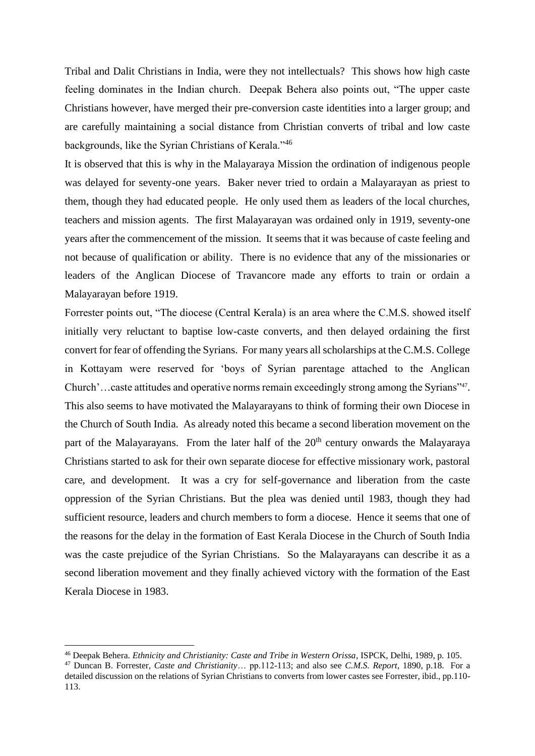Tribal and Dalit Christians in India, were they not intellectuals? This shows how high caste feeling dominates in the Indian church. Deepak Behera also points out, "The upper caste Christians however, have merged their pre-conversion caste identities into a larger group; and are carefully maintaining a social distance from Christian converts of tribal and low caste backgrounds, like the Syrian Christians of Kerala."<sup>46</sup>

It is observed that this is why in the Malayaraya Mission the ordination of indigenous people was delayed for seventy-one years. Baker never tried to ordain a Malayarayan as priest to them, though they had educated people. He only used them as leaders of the local churches, teachers and mission agents. The first Malayarayan was ordained only in 1919, seventy-one years after the commencement of the mission. It seems that it was because of caste feeling and not because of qualification or ability. There is no evidence that any of the missionaries or leaders of the Anglican Diocese of Travancore made any efforts to train or ordain a Malayarayan before 1919.

Forrester points out, "The diocese (Central Kerala) is an area where the C.M.S. showed itself initially very reluctant to baptise low-caste converts, and then delayed ordaining the first convert for fear of offending the Syrians. For many years all scholarships at the C.M.S. College in Kottayam were reserved for 'boys of Syrian parentage attached to the Anglican Church'... caste attitudes and operative norms remain exceedingly strong among the Syrians"<sup>47</sup>. This also seems to have motivated the Malayarayans to think of forming their own Diocese in the Church of South India. As already noted this became a second liberation movement on the part of the Malayarayans. From the later half of the  $20<sup>th</sup>$  century onwards the Malayaraya Christians started to ask for their own separate diocese for effective missionary work, pastoral care, and development. It was a cry for self-governance and liberation from the caste oppression of the Syrian Christians. But the plea was denied until 1983, though they had sufficient resource, leaders and church members to form a diocese. Hence it seems that one of the reasons for the delay in the formation of East Kerala Diocese in the Church of South India was the caste prejudice of the Syrian Christians. So the Malayarayans can describe it as a second liberation movement and they finally achieved victory with the formation of the East Kerala Diocese in 1983.

<sup>46</sup> Deepak Behera. *Ethnicity and Christianity: Caste and Tribe in Western Orissa*, ISPCK, Delhi, 1989, p. 105.

<sup>47</sup> Duncan B. Forrester, *Caste and Christianity*… pp.112-113; and also see *C.M.S. Report*, 1890, p.18. For a detailed discussion on the relations of Syrian Christians to converts from lower castes see Forrester, ibid., pp.110- 113.